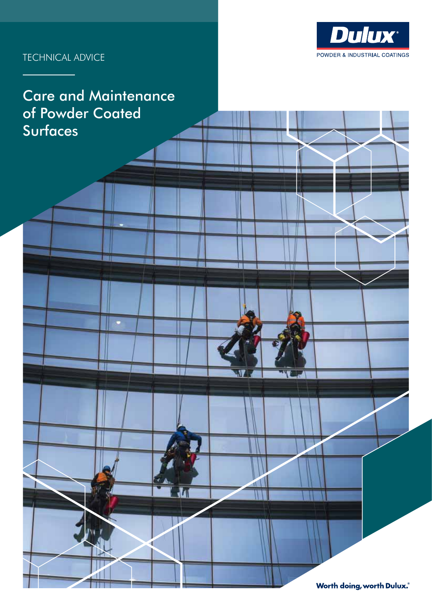

# TECHNICAL ADVICE

# Care and Maintenance of Powder Coated Surfaces

Ħ۱

 $\overline{\mathbf{u}}$ 

Ħ

**Worth doing, worth Dulux.**®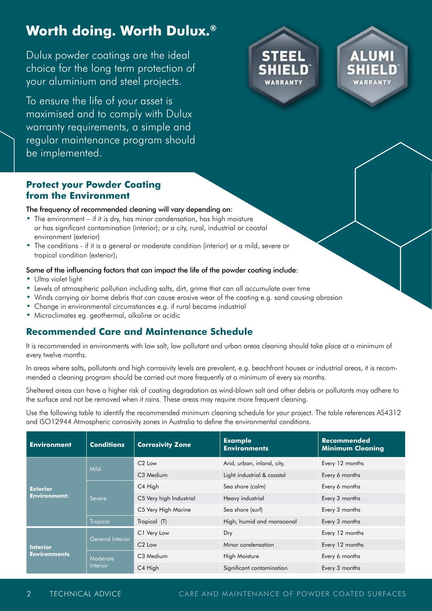# **Worth doing. Worth Dulux.®**

Dulux powder coatings are the ideal choice for the long term protection of your aluminium and steel projects.

To ensure the life of your asset is maximised and to comply with Dulux warranty requirements, a simple and regular maintenance program should be implemented.





### **Protect your Powder Coating from the Environment**

#### The frequency of recommended cleaning will vary depending on:

- **•** The environment if it is dry, has minor condensation, has high moisture or has significant contamination (interior); or a city, rural, industrial or coastal environment (exterior)
- **•** The conditions if it is a general or moderate condition (interior) or a mild, severe or tropical condition (exterior);

#### Some of the influencing factors that can impact the life of the powder coating include:

- **•** Ultra violet light
- **•** Levels of atmospheric pollution including salts, dirt, grime that can all accumulate over time
- **•** Winds carrying air borne debris that can cause erosive wear of the coating e.g. sand causing abrasion
- **•** Change in environmental circumstances e.g. if rural became industrial
- **•** Microclimates eg. geothermal, alkaline or acidic

### **Recommended Care and Maintenance Schedule**

It is recommended in environments with low salt, low pollutant and urban areas cleaning should take place at a minimum of every twelve months.

In areas where salts, pollutants and high corrosivity levels are prevalent, e.g. beachfront houses or industrial areas, it is recommended a cleaning program should be carried out more frequently at a minimum of every six months.

Sheltered areas can have a higher risk of coating degradation as wind-blown salt and other debris or pollutants may adhere to the surface and not be removed when it rains. These areas may require more frequent cleaning.

Use the following table to identify the recommended minimum cleaning schedule for your project. The table references AS4312 and ISO12944 Atmospheric corrosivity zones in Australia to define the environmental conditions.

| <b>Environment</b>                     | <b>Conditions</b>           | <b>Corrosivity Zone</b> | <b>Example</b><br><b>Environments</b> | <b>Recommended</b><br><b>Minimum Cleaning</b> |
|----------------------------------------|-----------------------------|-------------------------|---------------------------------------|-----------------------------------------------|
| <b>Exterior</b><br><b>Environment:</b> | <b>Mild</b>                 | $C2$ Low                | Arid, urban, inland, city,            | Every 12 months                               |
|                                        |                             | C <sub>3</sub> Medium   | Light industrial & coastal            | Every 6 months                                |
|                                        | Severe                      | C4 High                 | Sea shore (calm)                      | Every 6 months                                |
|                                        |                             | C5 Very high Industrial | Heavy industrial                      | Every 3 months                                |
|                                        |                             | C5 Very High Marine     | Sea shore (surf)                      | Every 3 months                                |
|                                        | <b>Tropical</b>             | Tropical (T)            | High, humid and monsoonal             | Every 3 months                                |
| <b>Interior</b><br><b>Environments</b> | General Interior            | C1 Very Low             | Dry                                   | Every 12 months                               |
|                                        |                             | $C2$ Low                | Minor condensation                    | Every 12 months                               |
|                                        | Moderate<br><b>Interior</b> | C <sub>3</sub> Medium   | <b>High Moisture</b>                  | Every 6 months                                |
|                                        |                             | C4 High                 | Significant contamination             | Every 3 months                                |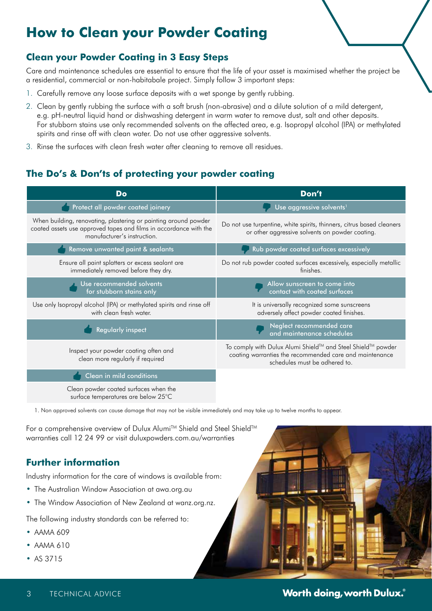# **How to Clean your Powder Coating**

# **Clean your Powder Coating in 3 Easy Steps**

Care and maintenance schedules are essential to ensure that the life of your asset is maximised whether the project be a residential, commercial or non-habitabale project. Simply follow 3 important steps:

- 1. Carefully remove any loose surface deposits with a wet sponge by gently rubbing.
- 2. Clean by gently rubbing the surface with a soft brush (non-abrasive) and a dilute solution of a mild detergent, e.g. pH-neutral liquid hand or dishwashing detergent in warm water to remove dust, salt and other deposits. For stubborn stains use only recommended solvents on the affected area, e.g. Isopropyl alcohol (IPA) or methylated spirits and rinse off with clean water. Do not use other aggressive solvents.
- 3. Rinse the surfaces with clean fresh water after cleaning to remove all residues.

## **The Do's & Don'ts of protecting your powder coating**

| Do                                                                                                                                                                  | Don't                                                                                                                                                   |  |
|---------------------------------------------------------------------------------------------------------------------------------------------------------------------|---------------------------------------------------------------------------------------------------------------------------------------------------------|--|
| Protect all powder coated joinery                                                                                                                                   | Use aggressive solvents <sup>1</sup>                                                                                                                    |  |
| When building, renovating, plastering or painting around powder<br>coated assets use approved tapes and films in accordance with the<br>manufacturer's instruction. | Do not use turpentine, white spirits, thinners, citrus based cleaners<br>or other aggressive solvents on powder coating.                                |  |
| Remove unwanted paint & sealants                                                                                                                                    | Rub powder coated surfaces excessively                                                                                                                  |  |
| Ensure all paint splatters or excess sealant are<br>immediately removed before they dry.                                                                            | Do not rub powder coated surfaces excessively, especially metallic<br>finishes.                                                                         |  |
| Use recommended solvents<br>for stubborn stains only                                                                                                                | Allow sunscreen to come into<br>contact with coated surfaces                                                                                            |  |
| Use only Isopropyl alcohol (IPA) or methylated spirits and rinse off<br>with clean fresh water.                                                                     | It is universally recognized some sunscreens<br>adversely affect powder coated finishes.                                                                |  |
| <b>Regularly inspect</b>                                                                                                                                            | Neglect recommended care<br>and maintenance schedules                                                                                                   |  |
| Inspect your powder coating often and<br>clean more regularly if required                                                                                           | To comply with Dulux Alumi Shield™ and Steel Shield™ powder<br>coating warranties the recommended care and maintenance<br>schedules must be adhered to. |  |
| Clean in mild conditions                                                                                                                                            |                                                                                                                                                         |  |
| Clean powder coated surfaces when the<br>surface temperatures are below 25°C                                                                                        |                                                                                                                                                         |  |

1. Non approved solvents can cause damage that may not be visible immediately and may take up to twelve months to appear.

For a comprehensive overview of Dulux Alumi™ Shield and Steel Shield™ warranties call 12 24 99 or visit duluxpowders.com.au/warranties

## **Further information**

Industry information for the care of windows is available from:

- **•** The Australian Window Association at awa.org.au
- **•** The Window Association of New Zealand at wanz.org.nz.

The following industry standards can be referred to:

- **•** AAMA 609
- **•** AAMA 610
- **•** AS 3715



**3** TECHNICAL ADVICE **By the contract of the contract of the contract of <b>Worth doing, worth Dulux.**